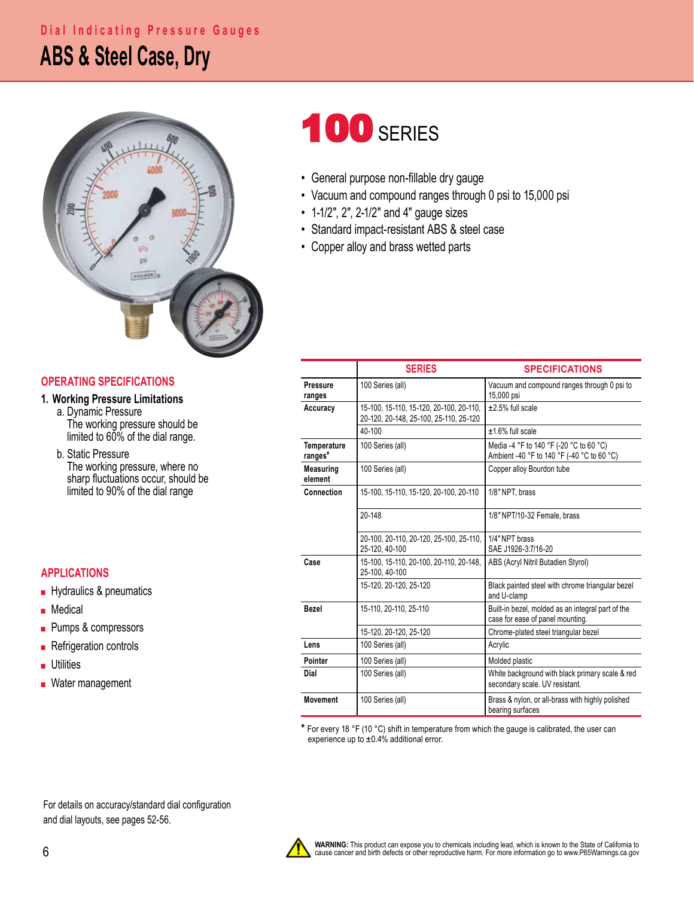### **ABS & Steel Case, Dry Dial Indicating Pressure Gauges**



#### **OPERATING SPECIFICATIONS**

#### **1. Working Pressure Limitations**

 a. Dynamic Pressure The working pressure should be limited to 60% of the dial range.

b. Static Pressure<br>The working pressure, where no sharp fluctuations occur, should be limited to 90% of the dial range

#### **APPLICATIONS**

- Hydraulics & pneumatics
- Medical
- Pumps & compressors
- Refrigeration controls
- Utilities
- Water management

# **100 SERIES**

- General purpose non-fillable dry gauge
- Vacuum and compound ranges through 0 psi to 15,000 psi
- 1-1/2", 2", 2-1/2" and 4" gauge sizes
- Standard impact-resistant ABS & steel case
- Copper alloy and brass wetted parts

|                               | <b>SERIES</b>                                                                     | <b>SPECIFICATIONS</b>                                                                 |  |  |  |
|-------------------------------|-----------------------------------------------------------------------------------|---------------------------------------------------------------------------------------|--|--|--|
| Pressure<br>ranges            | 100 Series (all)                                                                  | Vacuum and compound ranges through 0 psi to<br>15,000 psi                             |  |  |  |
| Accuracy                      | 15-100, 15-110, 15-120, 20-100, 20-110,<br>20-120, 20-148, 25-100, 25-110, 25-120 | $±2.5%$ full scale                                                                    |  |  |  |
|                               | 40-100                                                                            | +1.6% full scale                                                                      |  |  |  |
| <b>Temperature</b><br>ranges* | 100 Series (all)                                                                  | Media -4 °F to 140 °F (-20 °C to 60 °C)<br>Ambient -40 °F to 140 °F (-40 °C to 60 °C) |  |  |  |
| <b>Measuring</b><br>element   | 100 Series (all)                                                                  | Copper alloy Bourdon tube                                                             |  |  |  |
| Connection                    | 15-100, 15-110, 15-120, 20-100, 20-110                                            | 1/8" NPT, brass                                                                       |  |  |  |
|                               | 20-148                                                                            | 1/8" NPT/10-32 Female, brass                                                          |  |  |  |
|                               | 20-100, 20-110, 20-120, 25-100, 25-110,<br>25-120, 40-100                         | 1/4" NPT brass<br>SAE J1926-3:7/16-20                                                 |  |  |  |
| Case                          | 15-100, 15-110, 20-100, 20-110, 20-148,<br>25-100.40-100                          | ABS (Acryl Nitril Butadien Styrol)                                                    |  |  |  |
|                               | 15-120, 20-120, 25-120                                                            | Black painted steel with chrome triangular bezel<br>and U-clamp                       |  |  |  |
| <b>Bezel</b>                  | 15-110, 20-110, 25-110                                                            | Built-in bezel, molded as an integral part of the<br>case for ease of panel mounting. |  |  |  |
|                               | 15-120, 20-120, 25-120                                                            | Chrome-plated steel triangular bezel                                                  |  |  |  |
| Lens                          | 100 Series (all)                                                                  | Acrylic                                                                               |  |  |  |
| Pointer                       | 100 Series (all)                                                                  | Molded plastic                                                                        |  |  |  |
| Dial                          | 100 Series (all)                                                                  | White background with black primary scale & red<br>secondary scale. UV resistant.     |  |  |  |
| <b>Movement</b>               | 100 Series (all)                                                                  | Brass & nylon, or all-brass with highly polished<br>bearing surfaces                  |  |  |  |

**\*** For every 18 °F (10 °C) shift in temperature from which the gauge is calibrated, the user can experience up to  $\pm 0.4\%$  additional error.

For details on accuracy/standard dial configuration and dial layouts, see pages 52-56.

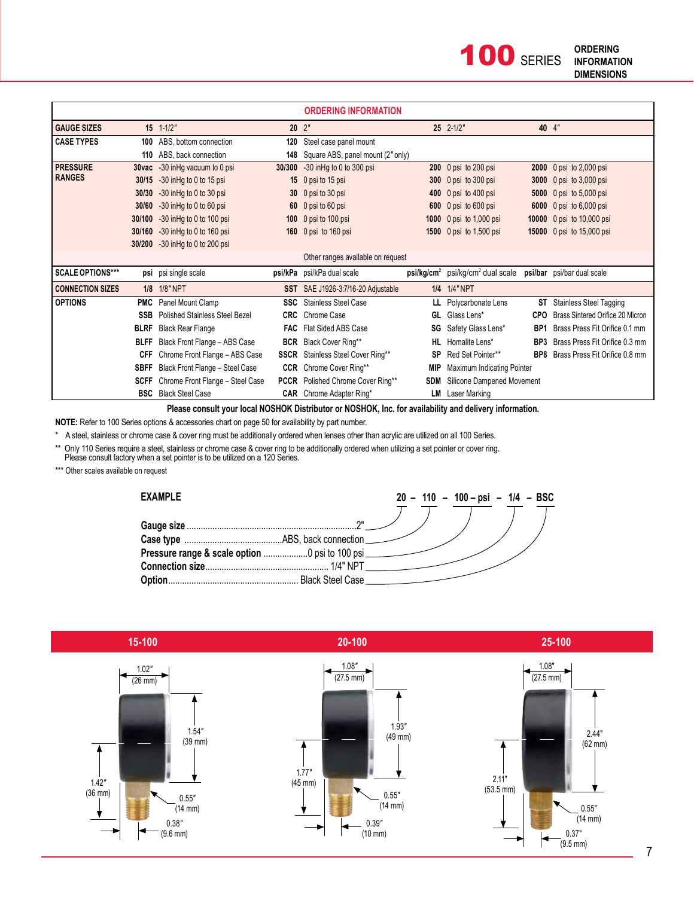**100 SERIES** 

|                         |             |                                        |             | <b>ORDERING INFORMATION</b>              |            |                                                                                     |                 |                                           |
|-------------------------|-------------|----------------------------------------|-------------|------------------------------------------|------------|-------------------------------------------------------------------------------------|-----------------|-------------------------------------------|
| <b>GAUGE SIZES</b>      |             | $15 \quad 1 - 1/2$ "                   |             | $20 \t2$ "                               |            | $25$ $2-1/2$ "                                                                      |                 | 40 4"                                     |
| <b>CASE TYPES</b>       |             | 100 ABS, bottom connection             | 120         | Steel case panel mount                   |            |                                                                                     |                 |                                           |
|                         |             | 110 ABS, back connection               | 148         | Square ABS, panel mount (2" only)        |            |                                                                                     |                 |                                           |
| <b>PRESSURE</b>         |             | <b>30vac</b> -30 in Hg vacuum to 0 psi |             | 30/300 -30 in Hg to 0 to 300 psi         |            | 200 0 psi to 200 psi                                                                |                 | 2000 0 psi to 2,000 psi                   |
| <b>RANGES</b>           | 30/15       | -30 in Hg to 0 to 15 psi               |             | 15 0 psi to 15 psi                       |            | 300 0 psi to 300 psi                                                                | 3000            | 0 psi to $3,000$ psi                      |
|                         | 30/30       | $-30$ in Hg to 0 to 30 psi             |             | 30 0 psi to 30 psi                       |            | 400 0 psi to 400 psi                                                                | 5000            | 0 psi to $5,000$ psi                      |
|                         | 30/60       | $-30$ in Hg to 0 to 60 psi             |             | 60 0 psi to 60 psi                       |            | 600 0 psi to 600 psi                                                                |                 | 6000 0 psi to 6,000 psi                   |
|                         | 30/100      | -30 in Hg to 0 to 100 psi              |             | 100 0 psi to 100 psi                     |            | 1000 0 psi to 1,000 psi                                                             |                 | 10000 0 psi to 10,000 psi                 |
|                         | 30/160      | $-30$ in Hg to 0 to 160 psi            |             | 160 0 psi to 160 psi                     |            | 1500 0 psi to 1,500 psi                                                             |                 | 15000 0 psi to 15,000 psi                 |
|                         | 30/200      | $-30$ in Hg to 0 to 200 psi            |             |                                          |            |                                                                                     |                 |                                           |
|                         |             |                                        |             | Other ranges available on request        |            |                                                                                     |                 |                                           |
| <b>SCALE OPTIONS***</b> |             | psi psi single scale                   |             | psi/kPa psi/kPa dual scale               |            | psi/kg/cm <sup>2</sup> psi/kg/cm <sup>2</sup> dual scale psi/bar psi/bar dual scale |                 |                                           |
| <b>CONNECTION SIZES</b> |             | 1/8 1/8" NPT                           |             | SST SAE J1926-3:7/16-20 Adjustable       |            | 1/4 1/4" NPT                                                                        |                 |                                           |
| <b>OPTIONS</b>          |             | <b>PMC</b> Panel Mount Clamp           |             | <b>SSC</b> Stainless Steel Case          |            | LL Polycarbonate Lens                                                               | ST              | <b>Stainless Steel Tagging</b>            |
|                         | <b>SSB</b>  | Polished Stainless Steel Bezel         | <b>CRC</b>  | Chrome Case                              |            | GL Glass Lens*                                                                      | <b>CPO</b>      | Brass Sintered Orifice 20 Micron          |
|                         | <b>BLRF</b> | <b>Black Rear Flange</b>               | <b>FAC</b>  | Flat Sided ABS Case                      |            | <b>SG</b> Safety Glass Lens*                                                        | BP <sub>1</sub> | Brass Press Fit Orifice 0.1 mm            |
|                         | <b>BLFF</b> | Black Front Flange - ABS Case          |             | <b>BCR</b> Black Cover Ring**            |            | HL Homalite Lens*                                                                   | BP3             | Brass Press Fit Orifice 0.3 mm            |
|                         | CFF         | Chrome Front Flange - ABS Case         |             | <b>SSCR</b> Stainless Steel Cover Ring** | <b>SP</b>  | Red Set Pointer**                                                                   |                 | <b>BP8</b> Brass Press Fit Orifice 0.8 mm |
|                         | <b>SBFF</b> | Black Front Flange - Steel Case        | <b>CCR</b>  | Chrome Cover Ring**                      | <b>MIP</b> | Maximum Indicating Pointer                                                          |                 |                                           |
|                         | <b>SCFF</b> | Chrome Front Flange - Steel Case       | <b>PCCR</b> | Polished Chrome Cover Ring**             | <b>SDM</b> | Silicone Dampened Movement                                                          |                 |                                           |
|                         |             | <b>BSC</b> Black Steel Case            |             | <b>CAR</b> Chrome Adapter Ring*          |            | <b>LM</b> Laser Marking                                                             |                 |                                           |

**Please consult your local NOSHOK Distributor or NOSHOK, Inc. for availability and delivery information.**

**NOTE:** Refer to 100 Series options & accessories chart on page 50 for availability by part number.

\* A steel, stainless or chrome case & cover ring must be additionally ordered when lenses other than acrylic are utilized on all 100 Series.

\*\* Only 110 Series require a steel, stainless or chrome case & cover ring to be additionally ordered when utilizing a set pointer or cover ring. Please consult factory when a set pointer is to be utilized on a 120 Series.

\*\*\* Other scales available on request



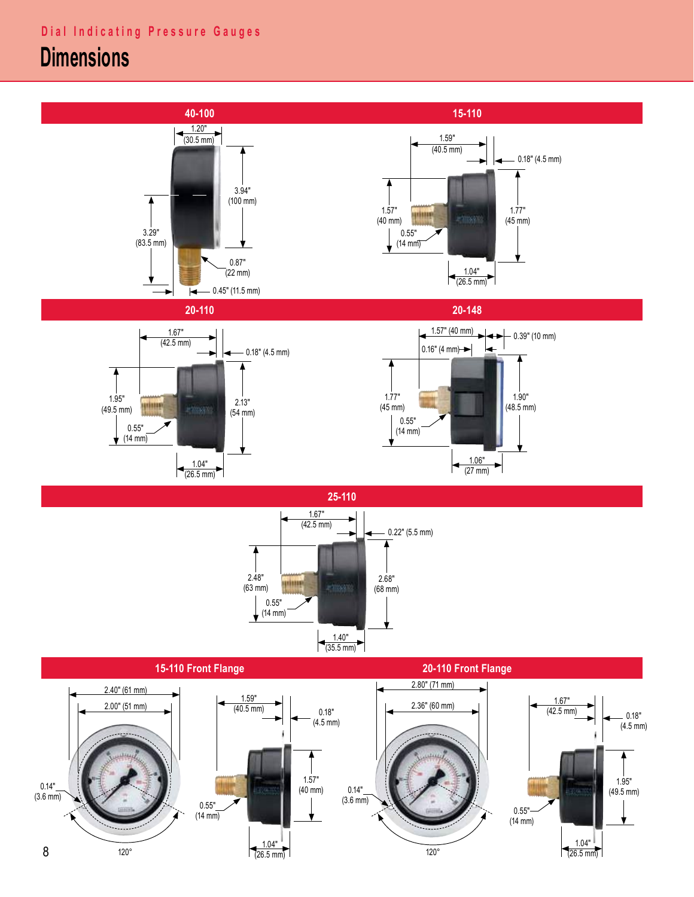## **Dimensions**



 $\sqrt{26.5 \text{ mm}}$  120° 0.55" (14 mm)

8

0.14"  $(3.6 \, \text{mm})$ 

1.57" (40 mm)

0.14"  $(3.6 \, \text{mm})$ 

1.04"